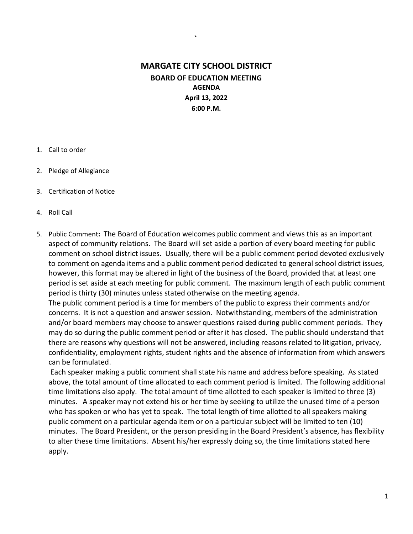## MARGATE CITY SCHOOL DISTRICT BOARD OF EDUCATION MEETING AGENDA April 13, 2022 6:00 P.M.

`

#### 1. Call to order

- 2. Pledge of Allegiance
- 3. Certification of Notice
- 4. Roll Call
- 5. Public Comment: The Board of Education welcomes public comment and views this as an important aspect of community relations. The Board will set aside a portion of every board meeting for public comment on school district issues. Usually, there will be a public comment period devoted exclusively to comment on agenda items and a public comment period dedicated to general school district issues, however, this format may be altered in light of the business of the Board, provided that at least one period is set aside at each meeting for public comment. The maximum length of each public comment period is thirty (30) minutes unless stated otherwise on the meeting agenda.

The public comment period is a time for members of the public to express their comments and/or concerns. It is not a question and answer session. Notwithstanding, members of the administration and/or board members may choose to answer questions raised during public comment periods. They may do so during the public comment period or after it has closed. The public should understand that there are reasons why questions will not be answered, including reasons related to litigation, privacy, confidentiality, employment rights, student rights and the absence of information from which answers can be formulated.

 Each speaker making a public comment shall state his name and address before speaking. As stated above, the total amount of time allocated to each comment period is limited. The following additional time limitations also apply. The total amount of time allotted to each speaker is limited to three (3) minutes. A speaker may not extend his or her time by seeking to utilize the unused time of a person who has spoken or who has yet to speak. The total length of time allotted to all speakers making public comment on a particular agenda item or on a particular subject will be limited to ten (10) minutes. The Board President, or the person presiding in the Board President's absence, has flexibility to alter these time limitations. Absent his/her expressly doing so, the time limitations stated here apply.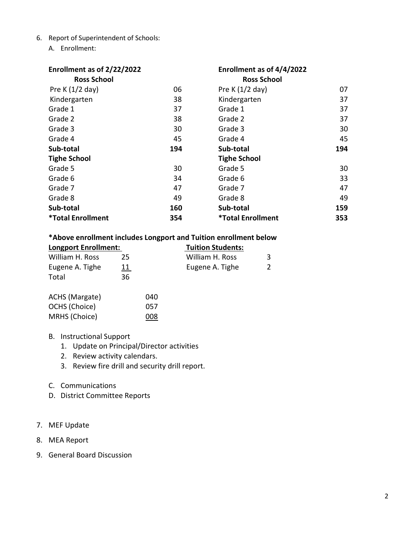- 6. Report of Superintendent of Schools:
	- A. Enrollment:

| Enrollment as of 2/22/2022 |     | Enrollment as of 4/4/2022 |     |
|----------------------------|-----|---------------------------|-----|
| <b>Ross School</b>         |     | <b>Ross School</b>        |     |
| Pre K $(1/2$ day)          | 06  | Pre K $(1/2$ day)         | 07  |
| Kindergarten               | 38  | Kindergarten              | 37  |
| Grade 1                    | 37  | Grade 1                   | 37  |
| Grade 2                    | 38  | Grade 2                   | 37  |
| Grade 3                    | 30  | Grade 3                   | 30  |
| Grade 4                    | 45  | Grade 4                   | 45  |
| Sub-total                  | 194 | Sub-total                 | 194 |
| <b>Tighe School</b>        |     | <b>Tighe School</b>       |     |
| Grade 5                    | 30  | Grade 5                   | 30  |
| Grade 6                    | 34  | Grade 6                   | 33  |
| Grade 7                    | 47  | Grade 7                   | 47  |
| Grade 8                    | 49  | Grade 8                   | 49  |
| Sub-total                  | 160 | Sub-total                 | 159 |
| <b>*Total Enrollment</b>   | 354 | <b>*Total Enrollment</b>  | 353 |

### \*Above enrollment includes Longport and Tuition enrollment below

| <b>Longport Enrollment:</b> |            | <b>Tuition Students:</b> |  |
|-----------------------------|------------|--------------------------|--|
| William H. Ross             | 25         | William H. Ross          |  |
| Eugene A. Tighe             | <u> 11</u> | Eugene A. Tighe          |  |
| Total                       | 36         |                          |  |

| ACHS (Margate) | 040 |
|----------------|-----|
| OCHS (Choice)  | 057 |
| MRHS (Choice)  | 008 |

### B. Instructional Support

- 1. Update on Principal/Director activities
- 2. Review activity calendars.
- 3. Review fire drill and security drill report.
- C. Communications
- D. District Committee Reports

### 7. MEF Update

- 8. MEA Report
- 9. General Board Discussion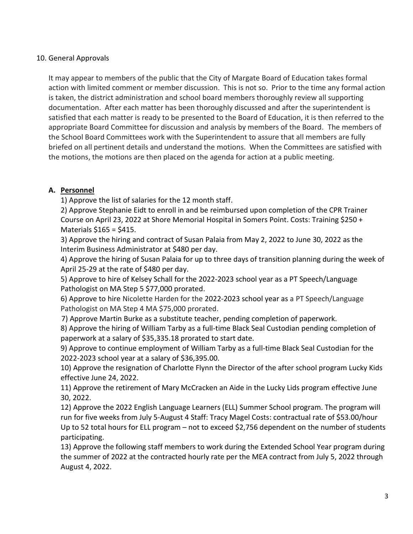### 10. General Approvals

It may appear to members of the public that the City of Margate Board of Education takes formal action with limited comment or member discussion. This is not so. Prior to the time any formal action is taken, the district administration and school board members thoroughly review all supporting documentation. After each matter has been thoroughly discussed and after the superintendent is satisfied that each matter is ready to be presented to the Board of Education, it is then referred to the appropriate Board Committee for discussion and analysis by members of the Board. The members of the School Board Committees work with the Superintendent to assure that all members are fully briefed on all pertinent details and understand the motions. When the Committees are satisfied with the motions, the motions are then placed on the agenda for action at a public meeting.

### A. Personnel

1) Approve the list of salaries for the 12 month staff.

2) Approve Stephanie Eidt to enroll in and be reimbursed upon completion of the CPR Trainer Course on April 23, 2022 at Shore Memorial Hospital in Somers Point. Costs: Training \$250 + Materials \$165 = \$415.

3) Approve the hiring and contract of Susan Palaia from May 2, 2022 to June 30, 2022 as the Interim Business Administrator at \$480 per day.

4) Approve the hiring of Susan Palaia for up to three days of transition planning during the week of April 25-29 at the rate of \$480 per day.

5) Approve to hire of Kelsey Schall for the 2022-2023 school year as a PT Speech/Language Pathologist on MA Step 5 \$77,000 prorated.

6) Approve to hire Nicolette Harden for the 2022-2023 school year as a PT Speech/Language Pathologist on MA Step 4 MA \$75,000 prorated.

7) Approve Martin Burke as a substitute teacher, pending completion of paperwork.

8) Approve the hiring of William Tarby as a full-time Black Seal Custodian pending completion of paperwork at a salary of \$35,335.18 prorated to start date.

9) Approve to continue employment of William Tarby as a full-time Black Seal Custodian for the 2022-2023 school year at a salary of \$36,395.00.

10) Approve the resignation of Charlotte Flynn the Director of the after school program Lucky Kids effective June 24, 2022.

11) Approve the retirement of Mary McCracken an Aide in the Lucky Lids program effective June 30, 2022.

12) Approve the 2022 English Language Learners (ELL) Summer School program. The program will run for five weeks from July 5-August 4 Staff: Tracy Magel Costs: contractual rate of \$53.00/hour Up to 52 total hours for ELL program – not to exceed \$2,756 dependent on the number of students participating.

13) Approve the following staff members to work during the Extended School Year program during the summer of 2022 at the contracted hourly rate per the MEA contract from July 5, 2022 through August 4, 2022.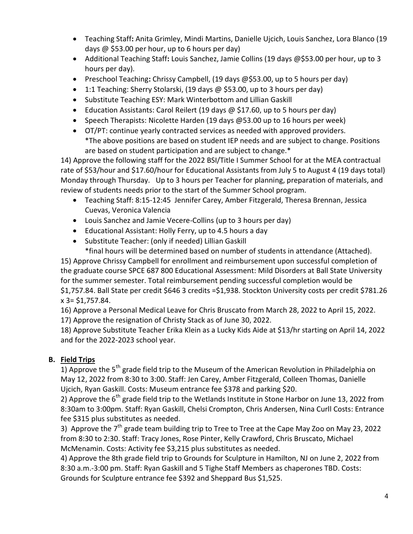- Teaching Staff: Anita Grimley, Mindi Martins, Danielle Ujcich, Louis Sanchez, Lora Blanco (19 days @ \$53.00 per hour, up to 6 hours per day)
- Additional Teaching Staff: Louis Sanchez, Jamie Collins (19 days @\$53.00 per hour, up to 3 hours per day).
- Preschool Teaching: Chrissy Campbell, (19 days @\$53.00, up to 5 hours per day)
- 1:1 Teaching: Sherry Stolarski, (19 days @ \$53.00, up to 3 hours per day)
- Substitute Teaching ESY: Mark Winterbottom and Lillian Gaskill
- Education Assistants: Carol Reilert (19 days @ \$17.60, up to 5 hours per day)
- Speech Therapists: Nicolette Harden (19 days @53.00 up to 16 hours per week)
- OT/PT: continue yearly contracted services as needed with approved providers. \*The above positions are based on student IEP needs and are subject to change. Positions are based on student participation and are subject to change.\*

14) Approve the following staff for the 2022 BSI/Title I Summer School for at the MEA contractual rate of \$53/hour and \$17.60/hour for Educational Assistants from July 5 to August 4 (19 days total) Monday through Thursday. Up to 3 hours per Teacher for planning, preparation of materials, and review of students needs prior to the start of the Summer School program.

- Teaching Staff: 8:15-12:45 Jennifer Carey, Amber Fitzgerald, Theresa Brennan, Jessica Cuevas, Veronica Valencia
- Louis Sanchez and Jamie Vecere-Collins (up to 3 hours per day)
- Educational Assistant: Holly Ferry, up to 4.5 hours a day
- Substitute Teacher: (only if needed) Lillian Gaskill \*final hours will be determined based on number of students in attendance (Attached).

15) Approve Chrissy Campbell for enrollment and reimbursement upon successful completion of the graduate course SPCE 687 800 Educational Assessment: Mild Disorders at Ball State University for the summer semester. Total reimbursement pending successful completion would be \$1,757.84. Ball State per credit \$646 3 credits =\$1,938. Stockton University costs per credit \$781.26 x 3= \$1,757.84.

16) Approve a Personal Medical Leave for Chris Bruscato from March 28, 2022 to April 15, 2022.

17) Approve the resignation of Christy Stack as of June 30, 2022.

18) Approve Substitute Teacher Erika Klein as a Lucky Kids Aide at \$13/hr starting on April 14, 2022 and for the 2022-2023 school year.

# B. Field Trips

1) Approve the 5<sup>th</sup> grade field trip to the Museum of the American Revolution in Philadelphia on May 12, 2022 from 8:30 to 3:00. Staff: Jen Carey, Amber Fitzgerald, Colleen Thomas, Danielle Ujcich, Ryan Gaskill. Costs: Museum entrance fee \$378 and parking \$20.

2) Approve the  $6<sup>th</sup>$  grade field trip to the Wetlands Institute in Stone Harbor on June 13, 2022 from 8:30am to 3:00pm. Staff: Ryan Gaskill, Chelsi Crompton, Chris Andersen, Nina Curll Costs: Entrance fee \$315 plus substitutes as needed.

3) Approve the 7<sup>th</sup> grade team building trip to Tree to Tree at the Cape May Zoo on May 23, 2022 from 8:30 to 2:30. Staff: Tracy Jones, Rose Pinter, Kelly Crawford, Chris Bruscato, Michael McMenamin. Costs: Activity fee \$3,215 plus substitutes as needed.

4) Approve the 8th grade field trip to Grounds for Sculpture in Hamilton, NJ on June 2, 2022 from 8:30 a.m.-3:00 pm. Staff: Ryan Gaskill and 5 Tighe Staff Members as chaperones TBD. Costs: Grounds for Sculpture entrance fee \$392 and Sheppard Bus \$1,525.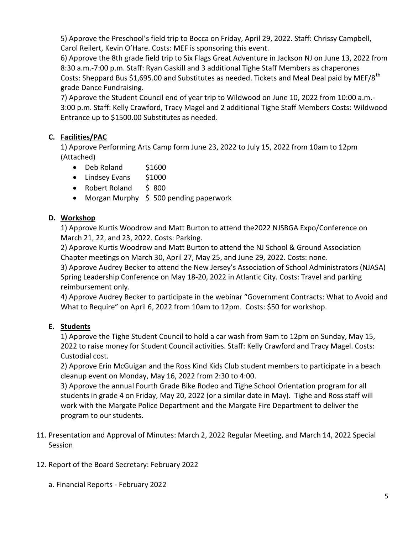5) Approve the Preschool's field trip to Bocca on Friday, April 29, 2022. Staff: Chrissy Campbell, Carol Reilert, Kevin O'Hare. Costs: MEF is sponsoring this event.

6) Approve the 8th grade field trip to Six Flags Great Adventure in Jackson NJ on June 13, 2022 from 8:30 a.m.-7:00 p.m. Staff: Ryan Gaskill and 3 additional Tighe Staff Members as chaperones Costs: Sheppard Bus \$1,695.00 and Substitutes as needed. Tickets and Meal Deal paid by MEF/8<sup>th</sup> grade Dance Fundraising.

7) Approve the Student Council end of year trip to Wildwood on June 10, 2022 from 10:00 a.m.- 3:00 p.m. Staff: Kelly Crawford, Tracy Magel and 2 additional Tighe Staff Members Costs: Wildwood Entrance up to \$1500.00 Substitutes as needed.

## C. Facilities/PAC

1) Approve Performing Arts Camp form June 23, 2022 to July 15, 2022 from 10am to 12pm (Attached)

- Deb Roland \$1600
- Lindsey Evans \$1000
- Robert Roland \$ 800
- Morgan Murphy \$ 500 pending paperwork

## D. Workshop

1) Approve Kurtis Woodrow and Matt Burton to attend the2022 NJSBGA Expo/Conference on March 21, 22, and 23, 2022. Costs: Parking.

2) Approve Kurtis Woodrow and Matt Burton to attend the NJ School & Ground Association Chapter meetings on March 30, April 27, May 25, and June 29, 2022. Costs: none.

3) Approve Audrey Becker to attend the New Jersey's Association of School Administrators (NJASA) Spring Leadership Conference on May 18-20, 2022 in Atlantic City. Costs: Travel and parking reimbursement only.

4) Approve Audrey Becker to participate in the webinar "Government Contracts: What to Avoid and What to Require" on April 6, 2022 from 10am to 12pm. Costs: \$50 for workshop.

## E. Students

1) Approve the Tighe Student Council to hold a car wash from 9am to 12pm on Sunday, May 15, 2022 to raise money for Student Council activities. Staff: Kelly Crawford and Tracy Magel. Costs: Custodial cost.

2) Approve Erin McGuigan and the Ross Kind Kids Club student members to participate in a beach cleanup event on Monday, May 16, 2022 from 2:30 to 4:00.

3) Approve the annual Fourth Grade Bike Rodeo and Tighe School Orientation program for all students in grade 4 on Friday, May 20, 2022 (or a similar date in May). Tighe and Ross staff will work with the Margate Police Department and the Margate Fire Department to deliver the program to our students.

- 11. Presentation and Approval of Minutes: March 2, 2022 Regular Meeting, and March 14, 2022 Special Session
- 12. Report of the Board Secretary: February 2022
	- a. Financial Reports February 2022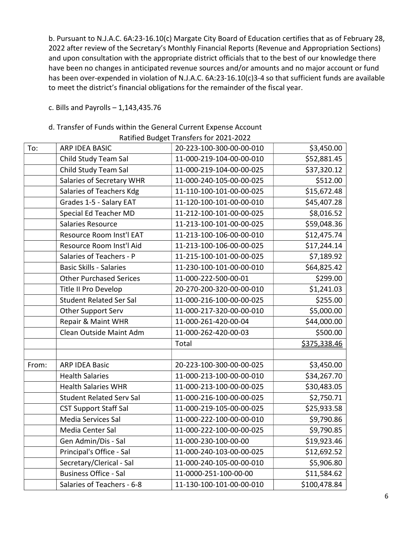b. Pursuant to N.J.A.C. 6A:23-16.10(c) Margate City Board of Education certifies that as of February 28, 2022 after review of the Secretary's Monthly Financial Reports (Revenue and Appropriation Sections) and upon consultation with the appropriate district officials that to the best of our knowledge there have been no changes in anticipated revenue sources and/or amounts and no major account or fund has been over-expended in violation of N.J.A.C. 6A:23-16.10(c)3-4 so that sufficient funds are available to meet the district's financial obligations for the remainder of the fiscal year.

c. Bills and Payrolls – 1,143,435.76

### d. Transfer of Funds within the General Current Expense Account

|       |                                 | Ratified Budget Transfers for 2021-2022 |              |
|-------|---------------------------------|-----------------------------------------|--------------|
| To:   | <b>ARP IDEA BASIC</b>           | 20-223-100-300-00-00-010                | \$3,450.00   |
|       | Child Study Team Sal            | 11-000-219-104-00-00-010                | \$52,881.45  |
|       | Child Study Team Sal            | 11-000-219-104-00-00-025                | \$37,320.12  |
|       | Salaries of Secretary WHR       | 11-000-240-105-00-00-025                | \$512.00     |
|       | Salaries of Teachers Kdg        | 11-110-100-101-00-00-025                | \$15,672.48  |
|       | Grades 1-5 - Salary EAT         | 11-120-100-101-00-00-010                | \$45,407.28  |
|       | Special Ed Teacher MD           | 11-212-100-101-00-00-025                | \$8,016.52   |
|       | <b>Salaries Resource</b>        | 11-213-100-101-00-00-025                | \$59,048.36  |
|       | Resource Room Inst'l EAT        | 11-213-100-106-00-00-010                | \$12,475.74  |
|       | Resource Room Inst'l Aid        | 11-213-100-106-00-00-025                | \$17,244.14  |
|       | Salaries of Teachers - P        | 11-215-100-101-00-00-025                | \$7,189.92   |
|       | <b>Basic Skills - Salaries</b>  | 11-230-100-101-00-00-010                | \$64,825.42  |
|       | <b>Other Purchased Serices</b>  | 11-000-222-500-00-01                    | \$299.00     |
|       | Title II Pro Develop            | 20-270-200-320-00-00-010                | \$1,241.03   |
|       | <b>Student Related Ser Sal</b>  | 11-000-216-100-00-00-025                | \$255.00     |
|       | Other Support Serv              | 11-000-217-320-00-00-010                | \$5,000.00   |
|       | Repair & Maint WHR              | 11-000-261-420-00-04                    | \$44,000.00  |
|       | Clean Outside Maint Adm         | 11-000-262-420-00-03                    | \$500.00     |
|       |                                 | Total                                   | \$375,338.46 |
|       |                                 |                                         |              |
| From: | <b>ARP IDEA Basic</b>           | 20-223-100-300-00-00-025                | \$3,450.00   |
|       | <b>Health Salaries</b>          | 11-000-213-100-00-00-010                | \$34,267.70  |
|       | <b>Health Salaries WHR</b>      | 11-000-213-100-00-00-025                | \$30,483.05  |
|       | <b>Student Related Serv Sal</b> | 11-000-216-100-00-00-025                | \$2,750.71   |
|       | <b>CST Support Staff Sal</b>    | 11-000-219-105-00-00-025                | \$25,933.58  |
|       | Media Services Sal              | 11-000-222-100-00-00-010                | \$9,790.86   |
|       | Media Center Sal                | 11-000-222-100-00-00-025                | \$9,790.85   |
|       | Gen Admin/Dis - Sal             | 11-000-230-100-00-00                    | \$19,923.46  |
|       | Principal's Office - Sal        | 11-000-240-103-00-00-025                | \$12,692.52  |
|       | Secretary/Clerical - Sal        | 11-000-240-105-00-00-010                | \$5,906.80   |
|       | <b>Business Office - Sal</b>    | 11-0000-251-100-00-00                   | \$11,584.62  |
|       | Salaries of Teachers - 6-8      | 11-130-100-101-00-00-010                | \$100,478.84 |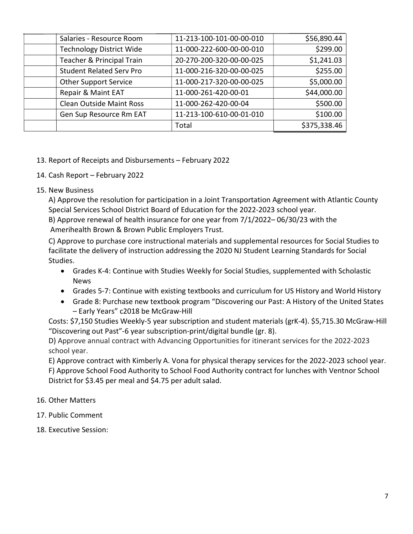| Salaries - Resource Room        | 11-213-100-101-00-00-010 | \$56,890.44  |
|---------------------------------|--------------------------|--------------|
| <b>Technology District Wide</b> | 11-000-222-600-00-00-010 | \$299.00     |
| Teacher & Principal Train       | 20-270-200-320-00-00-025 | \$1,241.03   |
| <b>Student Related Serv Pro</b> | 11-000-216-320-00-00-025 | \$255.00     |
| <b>Other Support Service</b>    | 11-000-217-320-00-00-025 | \$5,000.00   |
| Repair & Maint EAT              | 11-000-261-420-00-01     | \$44,000.00  |
| <b>Clean Outside Maint Ross</b> | 11-000-262-420-00-04     | \$500.00     |
| Gen Sup Resource Rm EAT         | 11-213-100-610-00-01-010 | \$100.00     |
|                                 | Total                    | \$375,338.46 |

### 13. Report of Receipts and Disbursements – February 2022

- 14. Cash Report February 2022
- 15. New Business

A) Approve the resolution for participation in a Joint Transportation Agreement with Atlantic County Special Services School District Board of Education for the 2022-2023 school year.

B) Approve renewal of health insurance for one year from 7/1/2022– 06/30/23 with the Amerihealth Brown & Brown Public Employers Trust.

C) Approve to purchase core instructional materials and supplemental resources for Social Studies to facilitate the delivery of instruction addressing the 2020 NJ Student Learning Standards for Social Studies.

- Grades K-4: Continue with Studies Weekly for Social Studies, supplemented with Scholastic News
- Grades 5-7: Continue with existing textbooks and curriculum for US History and World History
- Grade 8: Purchase new textbook program "Discovering our Past: A History of the United States – Early Years" c2018 be McGraw-Hill

Costs: \$7,150 Studies Weekly-5 year subscription and student materials (grK-4). \$5,715.30 McGraw-Hill "Discovering out Past"-6 year subscription-print/digital bundle (gr. 8).

D) Approve annual contract with Advancing Opportunities for itinerant services for the 2022-2023 school year.

E) Approve contract with Kimberly A. Vona for physical therapy services for the 2022-2023 school year. F) Approve School Food Authority to School Food Authority contract for lunches with Ventnor School District for \$3.45 per meal and \$4.75 per adult salad.

- 16. Other Matters
- 17. Public Comment
- 18. Executive Session: